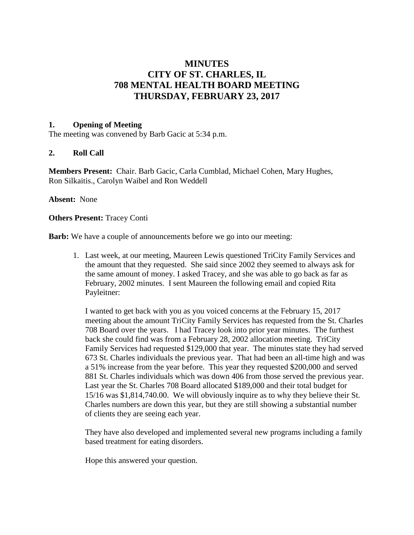# **MINUTES CITY OF ST. CHARLES, IL 708 MENTAL HEALTH BOARD MEETING THURSDAY, FEBRUARY 23, 2017**

#### **1. Opening of Meeting**

The meeting was convened by Barb Gacic at 5:34 p.m.

#### **2. Roll Call**

**Members Present:** Chair. Barb Gacic, Carla Cumblad, Michael Cohen, Mary Hughes, Ron Silkaitis., Carolyn Waibel and Ron Weddell

#### **Absent:** None

**Others Present:** Tracey Conti

**Barb:** We have a couple of announcements before we go into our meeting:

1. Last week, at our meeting, Maureen Lewis questioned TriCity Family Services and the amount that they requested. She said since 2002 they seemed to always ask for the same amount of money. I asked Tracey, and she was able to go back as far as February, 2002 minutes. I sent Maureen the following email and copied Rita Payleitner:

I wanted to get back with you as you voiced concerns at the February 15, 2017 meeting about the amount TriCity Family Services has requested from the St. Charles 708 Board over the years. I had Tracey look into prior year minutes. The furthest back she could find was from a February 28, 2002 allocation meeting. TriCity Family Services had requested \$129,000 that year. The minutes state they had served 673 St. Charles individuals the previous year. That had been an all-time high and was a 51% increase from the year before. This year they requested \$200,000 and served 881 St. Charles individuals which was down 406 from those served the previous year. Last year the St. Charles 708 Board allocated \$189,000 and their total budget for 15/16 was \$1,814,740.00. We will obviously inquire as to why they believe their St. Charles numbers are down this year, but they are still showing a substantial number of clients they are seeing each year.

They have also developed and implemented several new programs including a family based treatment for eating disorders.

Hope this answered your question.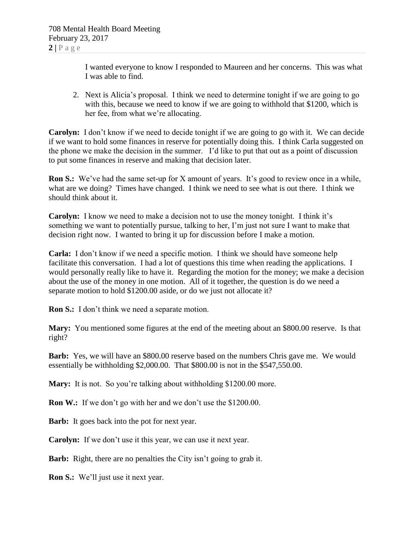I wanted everyone to know I responded to Maureen and her concerns. This was what I was able to find.

2. Next is Alicia's proposal. I think we need to determine tonight if we are going to go with this, because we need to know if we are going to withhold that \$1200, which is her fee, from what we're allocating.

**Carolyn:** I don't know if we need to decide tonight if we are going to go with it. We can decide if we want to hold some finances in reserve for potentially doing this. I think Carla suggested on the phone we make the decision in the summer. I'd like to put that out as a point of discussion to put some finances in reserve and making that decision later.

**Ron S.:** We've had the same set-up for X amount of years. It's good to review once in a while, what are we doing? Times have changed. I think we need to see what is out there. I think we should think about it.

**Carolyn:** I know we need to make a decision not to use the money tonight. I think it's something we want to potentially pursue, talking to her, I'm just not sure I want to make that decision right now. I wanted to bring it up for discussion before I make a motion.

**Carla:** I don't know if we need a specific motion. I think we should have someone help facilitate this conversation. I had a lot of questions this time when reading the applications. I would personally really like to have it. Regarding the motion for the money; we make a decision about the use of the money in one motion. All of it together, the question is do we need a separate motion to hold \$1200.00 aside, or do we just not allocate it?

**Ron S.:** I don't think we need a separate motion.

**Mary:** You mentioned some figures at the end of the meeting about an \$800.00 reserve. Is that right?

**Barb:** Yes, we will have an \$800.00 reserve based on the numbers Chris gave me. We would essentially be withholding \$2,000.00. That \$800.00 is not in the \$547,550.00.

**Mary:** It is not. So you're talking about withholding \$1200.00 more.

**Ron W.:** If we don't go with her and we don't use the \$1200.00.

**Barb:** It goes back into the pot for next year.

**Carolyn:** If we don't use it this year, we can use it next year.

**Barb:** Right, there are no penalties the City isn't going to grab it.

**Ron S.:** We'll just use it next year.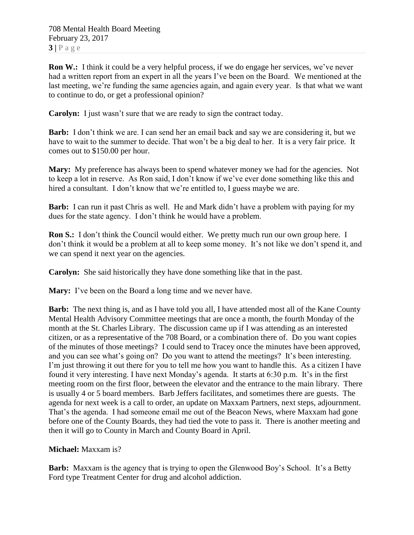708 Mental Health Board Meeting February 23, 2017  $3|P \text{ age}$ 

**Ron W.:** I think it could be a very helpful process, if we do engage her services, we've never had a written report from an expert in all the years I've been on the Board. We mentioned at the last meeting, we're funding the same agencies again, and again every year. Is that what we want to continue to do, or get a professional opinion?

**Carolyn:** I just wasn't sure that we are ready to sign the contract today.

**Barb:** I don't think we are. I can send her an email back and say we are considering it, but we have to wait to the summer to decide. That won't be a big deal to her. It is a very fair price. It comes out to \$150.00 per hour.

**Mary:** My preference has always been to spend whatever money we had for the agencies. Not to keep a lot in reserve. As Ron said, I don't know if we've ever done something like this and hired a consultant. I don't know that we're entitled to, I guess maybe we are.

**Barb:** I can run it past Chris as well. He and Mark didn't have a problem with paying for my dues for the state agency. I don't think he would have a problem.

**Ron S.:** I don't think the Council would either. We pretty much run our own group here. I don't think it would be a problem at all to keep some money. It's not like we don't spend it, and we can spend it next year on the agencies.

**Carolyn:** She said historically they have done something like that in the past.

**Mary:** I've been on the Board a long time and we never have.

**Barb:** The next thing is, and as I have told you all, I have attended most all of the Kane County Mental Health Advisory Committee meetings that are once a month, the fourth Monday of the month at the St. Charles Library. The discussion came up if I was attending as an interested citizen, or as a representative of the 708 Board, or a combination there of. Do you want copies of the minutes of those meetings? I could send to Tracey once the minutes have been approved, and you can see what's going on? Do you want to attend the meetings? It's been interesting. I'm just throwing it out there for you to tell me how you want to handle this. As a citizen I have found it very interesting. I have next Monday's agenda. It starts at 6:30 p.m. It's in the first meeting room on the first floor, between the elevator and the entrance to the main library. There is usually 4 or 5 board members. Barb Jeffers facilitates, and sometimes there are guests. The agenda for next week is a call to order, an update on Maxxam Partners, next steps, adjournment. That's the agenda. I had someone email me out of the Beacon News, where Maxxam had gone before one of the County Boards, they had tied the vote to pass it. There is another meeting and then it will go to County in March and County Board in April.

## **Michael:** Maxxam is?

**Barb:** Maxxam is the agency that is trying to open the Glenwood Boy's School. It's a Betty Ford type Treatment Center for drug and alcohol addiction.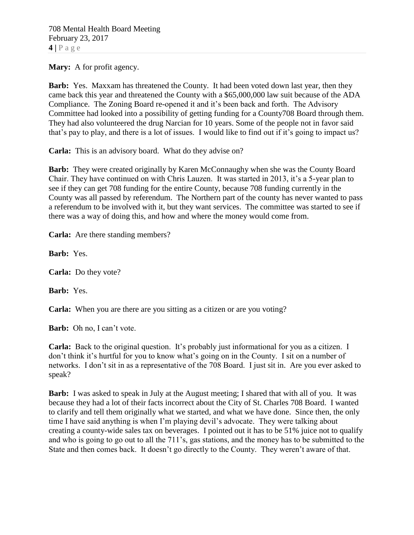**Mary:** A for profit agency.

**Barb:** Yes. Maxxam has threatened the County. It had been voted down last year, then they came back this year and threatened the County with a \$65,000,000 law suit because of the ADA Compliance. The Zoning Board re-opened it and it's been back and forth. The Advisory Committee had looked into a possibility of getting funding for a County708 Board through them. They had also volunteered the drug Narcian for 10 years. Some of the people not in favor said that's pay to play, and there is a lot of issues. I would like to find out if it's going to impact us?

**Carla:** This is an advisory board. What do they advise on?

**Barb:** They were created originally by Karen McConnaughy when she was the County Board Chair. They have continued on with Chris Lauzen. It was started in 2013, it's a 5-year plan to see if they can get 708 funding for the entire County, because 708 funding currently in the County was all passed by referendum. The Northern part of the county has never wanted to pass a referendum to be involved with it, but they want services. The committee was started to see if there was a way of doing this, and how and where the money would come from.

**Carla:** Are there standing members?

**Barb:** Yes.

**Carla:** Do they vote?

**Barb:** Yes.

**Carla:** When you are there are you sitting as a citizen or are you voting?

**Barb:** Oh no, I can't vote.

**Carla:** Back to the original question. It's probably just informational for you as a citizen. I don't think it's hurtful for you to know what's going on in the County. I sit on a number of networks. I don't sit in as a representative of the 708 Board. I just sit in. Are you ever asked to speak?

**Barb:** I was asked to speak in July at the August meeting; I shared that with all of you. It was because they had a lot of their facts incorrect about the City of St. Charles 708 Board. I wanted to clarify and tell them originally what we started, and what we have done. Since then, the only time I have said anything is when I'm playing devil's advocate. They were talking about creating a county-wide sales tax on beverages. I pointed out it has to be 51% juice not to qualify and who is going to go out to all the 711's, gas stations, and the money has to be submitted to the State and then comes back. It doesn't go directly to the County. They weren't aware of that.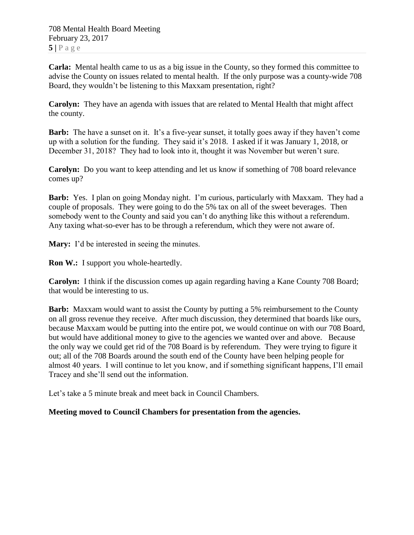**Carla:** Mental health came to us as a big issue in the County, so they formed this committee to advise the County on issues related to mental health. If the only purpose was a county-wide 708 Board, they wouldn't be listening to this Maxxam presentation, right?

**Carolyn:** They have an agenda with issues that are related to Mental Health that might affect the county.

**Barb:** The have a sunset on it. It's a five-year sunset, it totally goes away if they haven't come up with a solution for the funding. They said it's 2018. I asked if it was January 1, 2018, or December 31, 2018? They had to look into it, thought it was November but weren't sure.

**Carolyn:** Do you want to keep attending and let us know if something of 708 board relevance comes up?

**Barb:** Yes. I plan on going Monday night. I'm curious, particularly with Maxxam. They had a couple of proposals. They were going to do the 5% tax on all of the sweet beverages. Then somebody went to the County and said you can't do anything like this without a referendum. Any taxing what-so-ever has to be through a referendum, which they were not aware of.

**Mary:** I'd be interested in seeing the minutes.

**Ron W.:** I support you whole-heartedly.

**Carolyn:** I think if the discussion comes up again regarding having a Kane County 708 Board; that would be interesting to us.

**Barb:** Maxxam would want to assist the County by putting a 5% reimbursement to the County on all gross revenue they receive. After much discussion, they determined that boards like ours, because Maxxam would be putting into the entire pot, we would continue on with our 708 Board, but would have additional money to give to the agencies we wanted over and above. Because the only way we could get rid of the 708 Board is by referendum. They were trying to figure it out; all of the 708 Boards around the south end of the County have been helping people for almost 40 years. I will continue to let you know, and if something significant happens, I'll email Tracey and she'll send out the information.

Let's take a 5 minute break and meet back in Council Chambers.

## **Meeting moved to Council Chambers for presentation from the agencies.**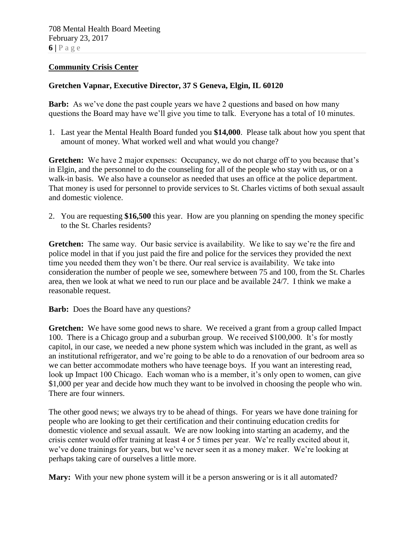#### **Community Crisis Center**

## **Gretchen Vapnar, Executive Director, 37 S Geneva, Elgin, IL 60120**

**Barb:** As we've done the past couple years we have 2 questions and based on how many questions the Board may have we'll give you time to talk. Everyone has a total of 10 minutes.

1. Last year the Mental Health Board funded you **\$14,000**. Please talk about how you spent that amount of money. What worked well and what would you change?

**Gretchen:** We have 2 major expenses: Occupancy, we do not charge off to you because that's in Elgin, and the personnel to do the counseling for all of the people who stay with us, or on a walk-in basis. We also have a counselor as needed that uses an office at the police department. That money is used for personnel to provide services to St. Charles victims of both sexual assault and domestic violence.

2. You are requesting **\$16,500** this year. How are you planning on spending the money specific to the St. Charles residents?

**Gretchen:** The same way. Our basic service is availability. We like to say we're the fire and police model in that if you just paid the fire and police for the services they provided the next time you needed them they won't be there. Our real service is availability. We take into consideration the number of people we see, somewhere between 75 and 100, from the St. Charles area, then we look at what we need to run our place and be available 24/7. I think we make a reasonable request.

**Barb:** Does the Board have any questions?

**Gretchen:** We have some good news to share. We received a grant from a group called Impact 100. There is a Chicago group and a suburban group. We received \$100,000. It's for mostly capitol, in our case, we needed a new phone system which was included in the grant, as well as an institutional refrigerator, and we're going to be able to do a renovation of our bedroom area so we can better accommodate mothers who have teenage boys. If you want an interesting read, look up Impact 100 Chicago. Each woman who is a member, it's only open to women, can give \$1,000 per year and decide how much they want to be involved in choosing the people who win. There are four winners.

The other good news; we always try to be ahead of things. For years we have done training for people who are looking to get their certification and their continuing education credits for domestic violence and sexual assault. We are now looking into starting an academy, and the crisis center would offer training at least 4 or 5 times per year. We're really excited about it, we've done trainings for years, but we've never seen it as a money maker. We're looking at perhaps taking care of ourselves a little more.

**Mary:** With your new phone system will it be a person answering or is it all automated?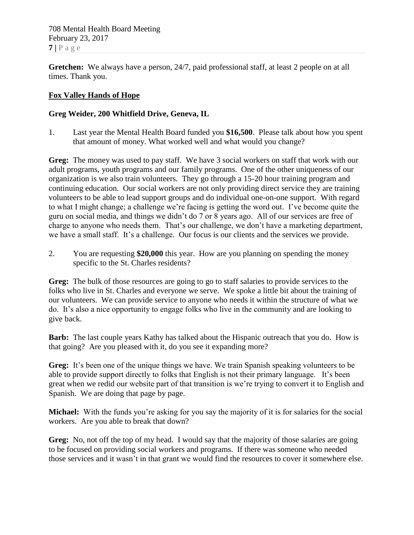708 Mental Health Board Meeting February 23, 2017  $7$  |  $P$  a g e

**Gretchen:** We always have a person, 24/7, paid professional staff, at least 2 people on at all times. Thank you.

## **Fox Valley Hands of Hope**

### **Greg Weider, 200 Whitfield Drive, Geneva, IL**

1. Last year the Mental Health Board funded you **\$16,500**. Please talk about how you spent that amount of money. What worked well and what would you change?

Greg: The money was used to pay staff. We have 3 social workers on staff that work with our adult programs, youth programs and our family programs. One of the other uniqueness of our organization is we also train volunteers. They go through a 15-20 hour training program and continuing education. Our social workers are not only providing direct service they are training volunteers to be able to lead support groups and do individual one-on-one support. With regard to what I might change; a challenge we're facing is getting the word out. I've become quite the guru on social media, and things we didn't do 7 or 8 years ago. All of our services are free of charge to anyone who needs them. That's our challenge, we don't have a marketing department, we have a small staff. It's a challenge. Our focus is our clients and the services we provide.

2. You are requesting **\$20,000** this year. How are you planning on spending the money specific to the St. Charles residents?

**Greg:** The bulk of those resources are going to go to staff salaries to provide services to the folks who live in St. Charles and everyone we serve. We spoke a little bit about the training of our volunteers. We can provide service to anyone who needs it within the structure of what we do. It's also a nice opportunity to engage folks who live in the community and are looking to give back.

**Barb:** The last couple years Kathy has talked about the Hispanic outreach that you do. How is that going? Are you pleased with it, do you see it expanding more?

**Greg:** It's been one of the unique things we have. We train Spanish speaking volunteers to be able to provide support directly to folks that English is not their primary language. It's been great when we redid our website part of that transition is we're trying to convert it to English and Spanish. We are doing that page by page.

**Michael:** With the funds you're asking for you say the majority of it is for salaries for the social workers. Are you able to break that down?

**Greg:** No, not off the top of my head. I would say that the majority of those salaries are going to be focused on providing social workers and programs. If there was someone who needed those services and it wasn't in that grant we would find the resources to cover it somewhere else.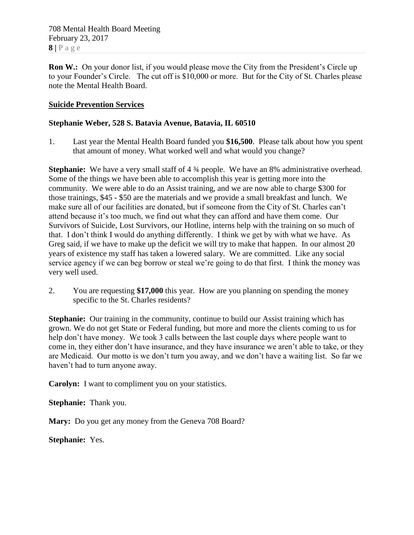708 Mental Health Board Meeting February 23, 2017  $8 | P a \geq e$ 

**Ron W.:** On your donor list, if you would please move the City from the President's Circle up to your Founder's Circle. The cut off is \$10,000 or more. But for the City of St. Charles please note the Mental Health Board.

## **Suicide Prevention Services**

### **Stephanie Weber, 528 S. Batavia Avenue, Batavia, IL 60510**

1. Last year the Mental Health Board funded you **\$16,500**. Please talk about how you spent that amount of money. What worked well and what would you change?

**Stephanie:** We have a very small staff of 4  $\frac{3}{4}$  people. We have an 8% administrative overhead. Some of the things we have been able to accomplish this year is getting more into the community. We were able to do an Assist training, and we are now able to charge \$300 for those trainings, \$45 - \$50 are the materials and we provide a small breakfast and lunch. We make sure all of our facilities are donated, but if someone from the City of St. Charles can't attend because it's too much, we find out what they can afford and have them come. Our Survivors of Suicide, Lost Survivors, our Hotline, interns help with the training on so much of that. I don't think I would do anything differently. I think we get by with what we have. As Greg said, if we have to make up the deficit we will try to make that happen. In our almost 20 years of existence my staff has taken a lowered salary. We are committed. Like any social service agency if we can beg borrow or steal we're going to do that first. I think the money was very well used.

2. You are requesting **\$17,000** this year. How are you planning on spending the money specific to the St. Charles residents?

**Stephanie:** Our training in the community, continue to build our Assist training which has grown. We do not get State or Federal funding, but more and more the clients coming to us for help don't have money. We took 3 calls between the last couple days where people want to come in, they either don't have insurance, and they have insurance we aren't able to take, or they are Medicaid. Our motto is we don't turn you away, and we don't have a waiting list. So far we haven't had to turn anyone away.

**Carolyn:** I want to compliment you on your statistics.

**Stephanie:** Thank you.

**Mary:** Do you get any money from the Geneva 708 Board?

**Stephanie:** Yes.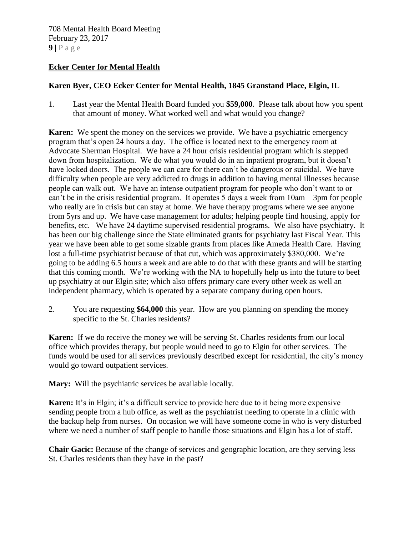## **Ecker Center for Mental Health**

## **Karen Byer, CEO Ecker Center for Mental Health, 1845 Granstand Place, Elgin, IL**

1. Last year the Mental Health Board funded you **\$59,000**. Please talk about how you spent that amount of money. What worked well and what would you change?

**Karen:** We spent the money on the services we provide. We have a psychiatric emergency program that's open 24 hours a day. The office is located next to the emergency room at Advocate Sherman Hospital. We have a 24 hour crisis residential program which is stepped down from hospitalization. We do what you would do in an inpatient program, but it doesn't have locked doors. The people we can care for there can't be dangerous or suicidal. We have difficulty when people are very addicted to drugs in addition to having mental illnesses because people can walk out. We have an intense outpatient program for people who don't want to or can't be in the crisis residential program. It operates 5 days a week from 10am – 3pm for people who really are in crisis but can stay at home. We have therapy programs where we see anyone from 5yrs and up. We have case management for adults; helping people find housing, apply for benefits, etc. We have 24 daytime supervised residential programs. We also have psychiatry. It has been our big challenge since the State eliminated grants for psychiatry last Fiscal Year. This year we have been able to get some sizable grants from places like Ameda Health Care. Having lost a full-time psychiatrist because of that cut, which was approximately \$380,000. We're going to be adding 6.5 hours a week and are able to do that with these grants and will be starting that this coming month. We're working with the NA to hopefully help us into the future to beef up psychiatry at our Elgin site; which also offers primary care every other week as well an independent pharmacy, which is operated by a separate company during open hours.

2. You are requesting **\$64,000** this year. How are you planning on spending the money specific to the St. Charles residents?

**Karen:** If we do receive the money we will be serving St. Charles residents from our local office which provides therapy, but people would need to go to Elgin for other services. The funds would be used for all services previously described except for residential, the city's money would go toward outpatient services.

**Mary:** Will the psychiatric services be available locally.

**Karen:** It's in Elgin; it's a difficult service to provide here due to it being more expensive sending people from a hub office, as well as the psychiatrist needing to operate in a clinic with the backup help from nurses. On occasion we will have someone come in who is very disturbed where we need a number of staff people to handle those situations and Elgin has a lot of staff.

**Chair Gacic:** Because of the change of services and geographic location, are they serving less St. Charles residents than they have in the past?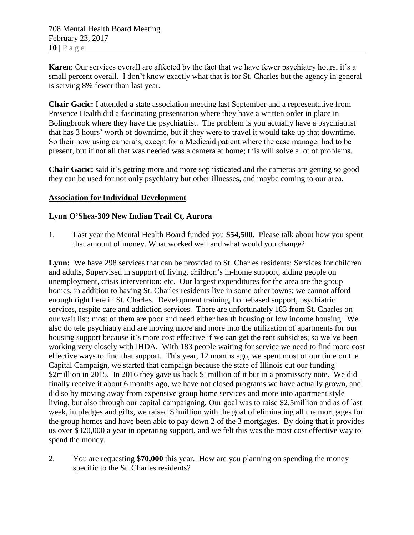708 Mental Health Board Meeting February 23, 2017 **10 |** P a g e

**Karen**: Our services overall are affected by the fact that we have fewer psychiatry hours, it's a small percent overall. I don't know exactly what that is for St. Charles but the agency in general is serving 8% fewer than last year.

**Chair Gacic:** I attended a state association meeting last September and a representative from Presence Health did a fascinating presentation where they have a written order in place in Bolingbrook where they have the psychiatrist. The problem is you actually have a psychiatrist that has 3 hours' worth of downtime, but if they were to travel it would take up that downtime. So their now using camera's, except for a Medicaid patient where the case manager had to be present, but if not all that was needed was a camera at home; this will solve a lot of problems.

**Chair Gacic:** said it's getting more and more sophisticated and the cameras are getting so good they can be used for not only psychiatry but other illnesses, and maybe coming to our area.

## **Association for Individual Development**

#### **Lynn O'Shea-309 New Indian Trail Ct, Aurora**

1. Last year the Mental Health Board funded you **\$54,500**. Please talk about how you spent that amount of money. What worked well and what would you change?

**Lynn:** We have 298 services that can be provided to St. Charles residents; Services for children and adults, Supervised in support of living, children's in-home support, aiding people on unemployment, crisis intervention; etc. Our largest expenditures for the area are the group homes, in addition to having St. Charles residents live in some other towns; we cannot afford enough right here in St. Charles. Development training, homebased support, psychiatric services, respite care and addiction services. There are unfortunately 183 from St. Charles on our wait list; most of them are poor and need either health housing or low income housing. We also do tele psychiatry and are moving more and more into the utilization of apartments for our housing support because it's more cost effective if we can get the rent subsidies; so we've been working very closely with IHDA. With 183 people waiting for service we need to find more cost effective ways to find that support. This year, 12 months ago, we spent most of our time on the Capital Campaign, we started that campaign because the state of Illinois cut our funding \$2million in 2015. In 2016 they gave us back \$1million of it but in a promissory note. We did finally receive it about 6 months ago, we have not closed programs we have actually grown, and did so by moving away from expensive group home services and more into apartment style living, but also through our capital campaigning. Our goal was to raise \$2.5million and as of last week, in pledges and gifts, we raised \$2million with the goal of eliminating all the mortgages for the group homes and have been able to pay down 2 of the 3 mortgages. By doing that it provides us over \$320,000 a year in operating support, and we felt this was the most cost effective way to spend the money.

2. You are requesting **\$70,000** this year. How are you planning on spending the money specific to the St. Charles residents?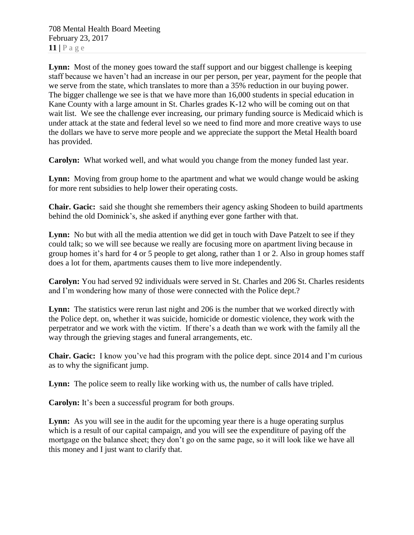708 Mental Health Board Meeting February 23, 2017  $11$  |  $P$  a g e

Lynn: Most of the money goes toward the staff support and our biggest challenge is keeping staff because we haven't had an increase in our per person, per year, payment for the people that we serve from the state, which translates to more than a 35% reduction in our buying power. The bigger challenge we see is that we have more than 16,000 students in special education in Kane County with a large amount in St. Charles grades K-12 who will be coming out on that wait list. We see the challenge ever increasing, our primary funding source is Medicaid which is under attack at the state and federal level so we need to find more and more creative ways to use the dollars we have to serve more people and we appreciate the support the Metal Health board has provided.

**Carolyn:** What worked well, and what would you change from the money funded last year.

**Lynn:** Moving from group home to the apartment and what we would change would be asking for more rent subsidies to help lower their operating costs.

**Chair. Gacic:** said she thought she remembers their agency asking Shodeen to build apartments behind the old Dominick's, she asked if anything ever gone farther with that.

**Lynn:** No but with all the media attention we did get in touch with Dave Patzelt to see if they could talk; so we will see because we really are focusing more on apartment living because in group homes it's hard for 4 or 5 people to get along, rather than 1 or 2. Also in group homes staff does a lot for them, apartments causes them to live more independently.

**Carolyn:** You had served 92 individuals were served in St. Charles and 206 St. Charles residents and I'm wondering how many of those were connected with the Police dept.?

**Lynn:** The statistics were rerun last night and 206 is the number that we worked directly with the Police dept. on, whether it was suicide, homicide or domestic violence, they work with the perpetrator and we work with the victim. If there's a death than we work with the family all the way through the grieving stages and funeral arrangements, etc.

**Chair. Gacic:** I know you've had this program with the police dept. since 2014 and I'm curious as to why the significant jump.

Lynn: The police seem to really like working with us, the number of calls have tripled.

**Carolyn:** It's been a successful program for both groups.

Lynn: As you will see in the audit for the upcoming year there is a huge operating surplus which is a result of our capital campaign, and you will see the expenditure of paying off the mortgage on the balance sheet; they don't go on the same page, so it will look like we have all this money and I just want to clarify that.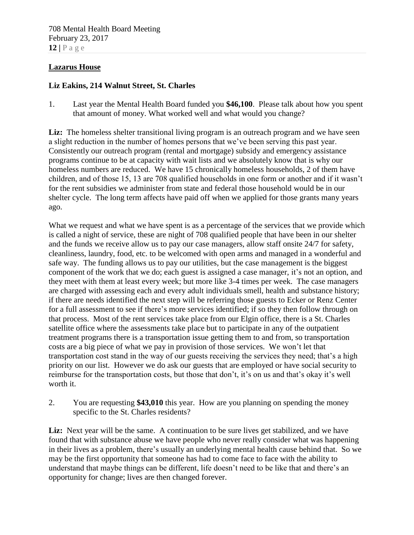### **Lazarus House**

## **Liz Eakins, 214 Walnut Street, St. Charles**

1. Last year the Mental Health Board funded you **\$46,100**. Please talk about how you spent that amount of money. What worked well and what would you change?

Liz: The homeless shelter transitional living program is an outreach program and we have seen a slight reduction in the number of homes persons that we've been serving this past year. Consistently our outreach program (rental and mortgage) subsidy and emergency assistance programs continue to be at capacity with wait lists and we absolutely know that is why our homeless numbers are reduced. We have 15 chronically homeless households, 2 of them have children, and of those 15, 13 are 708 qualified households in one form or another and if it wasn't for the rent subsidies we administer from state and federal those household would be in our shelter cycle. The long term affects have paid off when we applied for those grants many years ago.

What we request and what we have spent is as a percentage of the services that we provide which is called a night of service, these are night of 708 qualified people that have been in our shelter and the funds we receive allow us to pay our case managers, allow staff onsite 24/7 for safety, cleanliness, laundry, food, etc. to be welcomed with open arms and managed in a wonderful and safe way. The funding allows us to pay our utilities, but the case management is the biggest component of the work that we do; each guest is assigned a case manager, it's not an option, and they meet with them at least every week; but more like 3-4 times per week. The case managers are charged with assessing each and every adult individuals smell, health and substance history; if there are needs identified the next step will be referring those guests to Ecker or Renz Center for a full assessment to see if there's more services identified; if so they then follow through on that process. Most of the rent services take place from our Elgin office, there is a St. Charles satellite office where the assessments take place but to participate in any of the outpatient treatment programs there is a transportation issue getting them to and from, so transportation costs are a big piece of what we pay in provision of those services. We won't let that transportation cost stand in the way of our guests receiving the services they need; that's a high priority on our list. However we do ask our guests that are employed or have social security to reimburse for the transportation costs, but those that don't, it's on us and that's okay it's well worth it.

2. You are requesting **\$43,010** this year. How are you planning on spending the money specific to the St. Charles residents?

Liz: Next year will be the same. A continuation to be sure lives get stabilized, and we have found that with substance abuse we have people who never really consider what was happening in their lives as a problem, there's usually an underlying mental health cause behind that. So we may be the first opportunity that someone has had to come face to face with the ability to understand that maybe things can be different, life doesn't need to be like that and there's an opportunity for change; lives are then changed forever.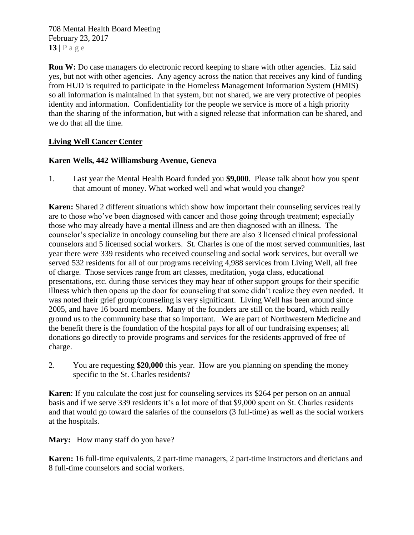708 Mental Health Board Meeting February 23, 2017 **13 |** P a g e

**Ron W:** Do case managers do electronic record keeping to share with other agencies. Liz said yes, but not with other agencies. Any agency across the nation that receives any kind of funding from HUD is required to participate in the Homeless Management Information System (HMIS) so all information is maintained in that system, but not shared, we are very protective of peoples identity and information. Confidentiality for the people we service is more of a high priority than the sharing of the information, but with a signed release that information can be shared, and we do that all the time.

## **Living Well Cancer Center**

## **Karen Wells, 442 Williamsburg Avenue, Geneva**

1. Last year the Mental Health Board funded you **\$9,000**. Please talk about how you spent that amount of money. What worked well and what would you change?

**Karen:** Shared 2 different situations which show how important their counseling services really are to those who've been diagnosed with cancer and those going through treatment; especially those who may already have a mental illness and are then diagnosed with an illness. The counselor's specialize in oncology counseling but there are also 3 licensed clinical professional counselors and 5 licensed social workers. St. Charles is one of the most served communities, last year there were 339 residents who received counseling and social work services, but overall we served 532 residents for all of our programs receiving 4,988 services from Living Well, all free of charge. Those services range from art classes, meditation, yoga class, educational presentations, etc. during those services they may hear of other support groups for their specific illness which then opens up the door for counseling that some didn't realize they even needed. It was noted their grief group/counseling is very significant. Living Well has been around since 2005, and have 16 board members. Many of the founders are still on the board, which really ground us to the community base that so important. We are part of Northwestern Medicine and the benefit there is the foundation of the hospital pays for all of our fundraising expenses; all donations go directly to provide programs and services for the residents approved of free of charge.

2. You are requesting **\$20,000** this year. How are you planning on spending the money specific to the St. Charles residents?

**Karen**: If you calculate the cost just for counseling services its \$264 per person on an annual basis and if we serve 339 residents it's a lot more of that \$9,000 spent on St. Charles residents and that would go toward the salaries of the counselors (3 full-time) as well as the social workers at the hospitals.

**Mary:** How many staff do you have?

**Karen:** 16 full-time equivalents, 2 part-time managers, 2 part-time instructors and dieticians and 8 full-time counselors and social workers.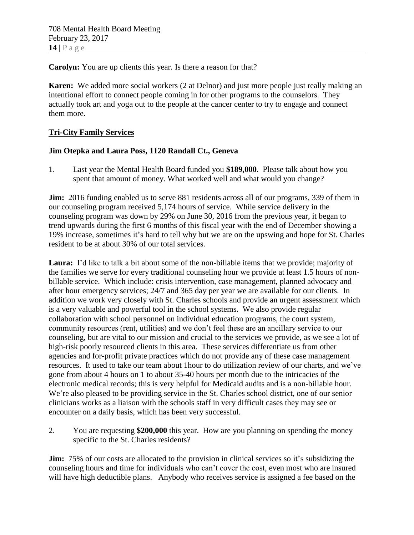**Carolyn:** You are up clients this year. Is there a reason for that?

**Karen:** We added more social workers (2 at Delnor) and just more people just really making an intentional effort to connect people coming in for other programs to the counselors. They actually took art and yoga out to the people at the cancer center to try to engage and connect them more.

## **Tri-City Family Services**

## **Jim Otepka and Laura Poss, 1120 Randall Ct., Geneva**

1. Last year the Mental Health Board funded you **\$189,000**. Please talk about how you spent that amount of money. What worked well and what would you change?

**Jim:** 2016 funding enabled us to serve 881 residents across all of our programs, 339 of them in our counseling program received 5,174 hours of service. While service delivery in the counseling program was down by 29% on June 30, 2016 from the previous year, it began to trend upwards during the first 6 months of this fiscal year with the end of December showing a 19% increase, sometimes it's hard to tell why but we are on the upswing and hope for St. Charles resident to be at about 30% of our total services.

**Laura:** I'd like to talk a bit about some of the non-billable items that we provide; majority of the families we serve for every traditional counseling hour we provide at least 1.5 hours of nonbillable service. Which include: crisis intervention, case management, planned advocacy and after hour emergency services; 24/7 and 365 day per year we are available for our clients. In addition we work very closely with St. Charles schools and provide an urgent assessment which is a very valuable and powerful tool in the school systems. We also provide regular collaboration with school personnel on individual education programs, the court system, community resources (rent, utilities) and we don't feel these are an ancillary service to our counseling, but are vital to our mission and crucial to the services we provide, as we see a lot of high-risk poorly resourced clients in this area. These services differentiate us from other agencies and for-profit private practices which do not provide any of these case management resources. It used to take our team about 1hour to do utilization review of our charts, and we've gone from about 4 hours on 1 to about 35-40 hours per month due to the intricacies of the electronic medical records; this is very helpful for Medicaid audits and is a non-billable hour. We're also pleased to be providing service in the St. Charles school district, one of our senior clinicians works as a liaison with the schools staff in very difficult cases they may see or encounter on a daily basis, which has been very successful.

2. You are requesting **\$200,000** this year. How are you planning on spending the money specific to the St. Charles residents?

**Jim:** 75% of our costs are allocated to the provision in clinical services so it's subsidizing the counseling hours and time for individuals who can't cover the cost, even most who are insured will have high deductible plans. Anybody who receives service is assigned a fee based on the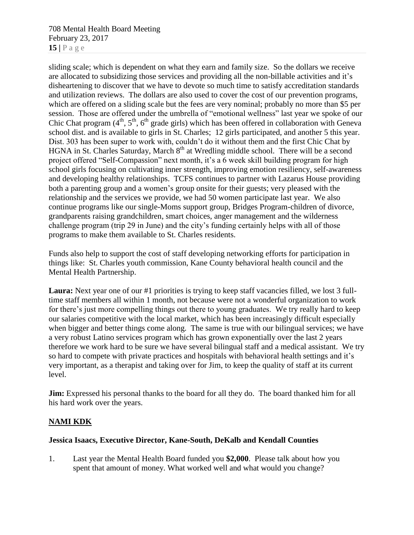708 Mental Health Board Meeting February 23, 2017 **15 |** P a g e

sliding scale; which is dependent on what they earn and family size. So the dollars we receive are allocated to subsidizing those services and providing all the non-billable activities and it's disheartening to discover that we have to devote so much time to satisfy accreditation standards and utilization reviews. The dollars are also used to cover the cost of our prevention programs, which are offered on a sliding scale but the fees are very nominal; probably no more than \$5 per session. Those are offered under the umbrella of "emotional wellness" last year we spoke of our Chic Chat program  $(4<sup>th</sup>, 5<sup>th</sup>, 6<sup>th</sup>$  grade girls) which has been offered in collaboration with Geneva school dist. and is available to girls in St. Charles; 12 girls participated, and another 5 this year. Dist. 303 has been super to work with, couldn't do it without them and the first Chic Chat by HGNA in St. Charles Saturday, March  $8<sup>th</sup>$  at Wredling middle school. There will be a second project offered "Self-Compassion" next month, it's a 6 week skill building program for high school girls focusing on cultivating inner strength, improving emotion resiliency, self-awareness and developing healthy relationships. TCFS continues to partner with Lazarus House providing both a parenting group and a women's group onsite for their guests; very pleased with the relationship and the services we provide, we had 50 women participate last year. We also continue programs like our single-Moms support group, Bridges Program-children of divorce, grandparents raising grandchildren, smart choices, anger management and the wilderness challenge program (trip 29 in June) and the city's funding certainly helps with all of those programs to make them available to St. Charles residents.

Funds also help to support the cost of staff developing networking efforts for participation in things like: St. Charles youth commission, Kane County behavioral health council and the Mental Health Partnership.

**Laura:** Next year one of our #1 priorities is trying to keep staff vacancies filled, we lost 3 fulltime staff members all within 1 month, not because were not a wonderful organization to work for there's just more compelling things out there to young graduates. We try really hard to keep our salaries competitive with the local market, which has been increasingly difficult especially when bigger and better things come along. The same is true with our bilingual services; we have a very robust Latino services program which has grown exponentially over the last 2 years therefore we work hard to be sure we have several bilingual staff and a medical assistant. We try so hard to compete with private practices and hospitals with behavioral health settings and it's very important, as a therapist and taking over for Jim, to keep the quality of staff at its current level.

**Jim:** Expressed his personal thanks to the board for all they do. The board thanked him for all his hard work over the years.

## **NAMI KDK**

## **Jessica Isaacs, Executive Director, Kane-South, DeKalb and Kendall Counties**

1. Last year the Mental Health Board funded you **\$2,000**. Please talk about how you spent that amount of money. What worked well and what would you change?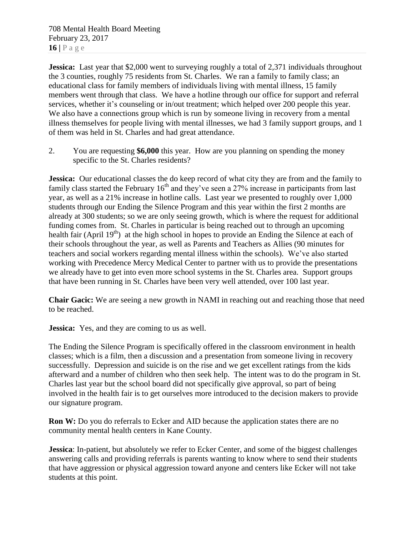708 Mental Health Board Meeting February 23, 2017 **16 |** P a g e

**Jessica:** Last year that \$2,000 went to surveying roughly a total of 2,371 individuals throughout the 3 counties, roughly 75 residents from St. Charles. We ran a family to family class; an educational class for family members of individuals living with mental illness, 15 family members went through that class. We have a hotline through our office for support and referral services, whether it's counseling or in/out treatment; which helped over 200 people this year. We also have a connections group which is run by someone living in recovery from a mental illness themselves for people living with mental illnesses, we had 3 family support groups, and 1 of them was held in St. Charles and had great attendance.

2. You are requesting **\$6,000** this year. How are you planning on spending the money specific to the St. Charles residents?

**Jessica:** Our educational classes the do keep record of what city they are from and the family to family class started the February  $16<sup>th</sup>$  and they've seen a 27% increase in participants from last year, as well as a 21% increase in hotline calls. Last year we presented to roughly over 1,000 students through our Ending the Silence Program and this year within the first 2 months are already at 300 students; so we are only seeing growth, which is where the request for additional funding comes from. St. Charles in particular is being reached out to through an upcoming health fair (April 19<sup>th</sup>) at the high school in hopes to provide an Ending the Silence at each of their schools throughout the year, as well as Parents and Teachers as Allies (90 minutes for teachers and social workers regarding mental illness within the schools). We've also started working with Precedence Mercy Medical Center to partner with us to provide the presentations we already have to get into even more school systems in the St. Charles area. Support groups that have been running in St. Charles have been very well attended, over 100 last year.

**Chair Gacic:** We are seeing a new growth in NAMI in reaching out and reaching those that need to be reached.

**Jessica:** Yes, and they are coming to us as well.

The Ending the Silence Program is specifically offered in the classroom environment in health classes; which is a film, then a discussion and a presentation from someone living in recovery successfully. Depression and suicide is on the rise and we get excellent ratings from the kids afterward and a number of children who then seek help. The intent was to do the program in St. Charles last year but the school board did not specifically give approval, so part of being involved in the health fair is to get ourselves more introduced to the decision makers to provide our signature program.

**Ron W:** Do you do referrals to Ecker and AID because the application states there are no community mental health centers in Kane County.

**Jessica**: In-patient, but absolutely we refer to Ecker Center, and some of the biggest challenges answering calls and providing referrals is parents wanting to know where to send their students that have aggression or physical aggression toward anyone and centers like Ecker will not take students at this point.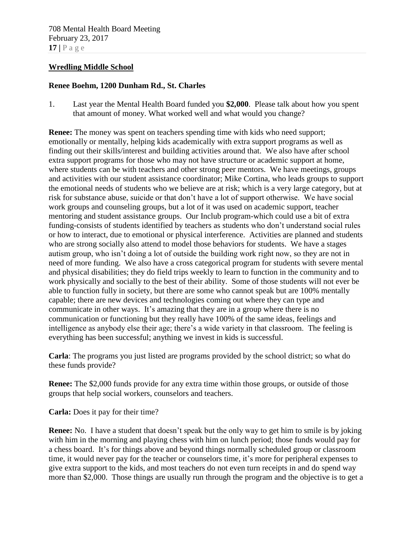#### **Wredling Middle School**

#### **Renee Boehm, 1200 Dunham Rd., St. Charles**

1. Last year the Mental Health Board funded you **\$2,000**. Please talk about how you spent that amount of money. What worked well and what would you change?

**Renee:** The money was spent on teachers spending time with kids who need support; emotionally or mentally, helping kids academically with extra support programs as well as finding out their skills/interest and building activities around that. We also have after school extra support programs for those who may not have structure or academic support at home, where students can be with teachers and other strong peer mentors. We have meetings, groups and activities with our student assistance coordinator; Mike Cortina, who leads groups to support the emotional needs of students who we believe are at risk; which is a very large category, but at risk for substance abuse, suicide or that don't have a lot of support otherwise. We have social work groups and counseling groups, but a lot of it was used on academic support, teacher mentoring and student assistance groups. Our Inclub program-which could use a bit of extra funding-consists of students identified by teachers as students who don't understand social rules or how to interact, due to emotional or physical interference. Activities are planned and students who are strong socially also attend to model those behaviors for students. We have a stages autism group, who isn't doing a lot of outside the building work right now, so they are not in need of more funding. We also have a cross categorical program for students with severe mental and physical disabilities; they do field trips weekly to learn to function in the community and to work physically and socially to the best of their ability. Some of those students will not ever be able to function fully in society, but there are some who cannot speak but are 100% mentally capable; there are new devices and technologies coming out where they can type and communicate in other ways. It's amazing that they are in a group where there is no communication or functioning but they really have 100% of the same ideas, feelings and intelligence as anybody else their age; there's a wide variety in that classroom. The feeling is everything has been successful; anything we invest in kids is successful.

**Carla**: The programs you just listed are programs provided by the school district; so what do these funds provide?

**Renee:** The \$2,000 funds provide for any extra time within those groups, or outside of those groups that help social workers, counselors and teachers.

**Carla:** Does it pay for their time?

**Renee:** No. I have a student that doesn't speak but the only way to get him to smile is by joking with him in the morning and playing chess with him on lunch period; those funds would pay for a chess board. It's for things above and beyond things normally scheduled group or classroom time, it would never pay for the teacher or counselors time, it's more for peripheral expenses to give extra support to the kids, and most teachers do not even turn receipts in and do spend way more than \$2,000. Those things are usually run through the program and the objective is to get a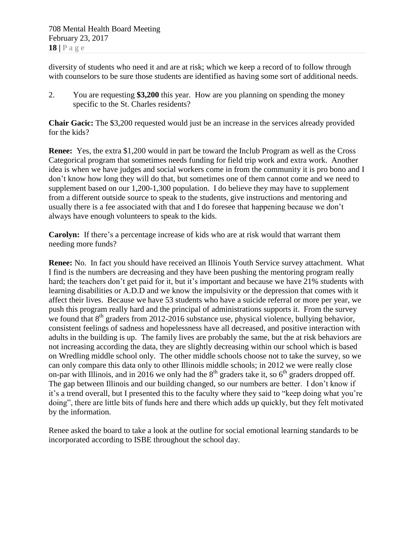diversity of students who need it and are at risk; which we keep a record of to follow through with counselors to be sure those students are identified as having some sort of additional needs.

2. You are requesting **\$3,200** this year. How are you planning on spending the money specific to the St. Charles residents?

**Chair Gacic:** The \$3,200 requested would just be an increase in the services already provided for the kids?

**Renee:** Yes, the extra \$1,200 would in part be toward the Inclub Program as well as the Cross Categorical program that sometimes needs funding for field trip work and extra work. Another idea is when we have judges and social workers come in from the community it is pro bono and I don't know how long they will do that, but sometimes one of them cannot come and we need to supplement based on our 1,200-1,300 population. I do believe they may have to supplement from a different outside source to speak to the students, give instructions and mentoring and usually there is a fee associated with that and I do foresee that happening because we don't always have enough volunteers to speak to the kids.

**Carolyn:** If there's a percentage increase of kids who are at risk would that warrant them needing more funds?

**Renee:** No. In fact you should have received an Illinois Youth Service survey attachment. What I find is the numbers are decreasing and they have been pushing the mentoring program really hard; the teachers don't get paid for it, but it's important and because we have 21% students with learning disabilities or A.D.D and we know the impulsivity or the depression that comes with it affect their lives. Because we have 53 students who have a suicide referral or more per year, we push this program really hard and the principal of administrations supports it. From the survey we found that  $8<sup>th</sup>$  graders from 2012-2016 substance use, physical violence, bullying behavior, consistent feelings of sadness and hopelessness have all decreased, and positive interaction with adults in the building is up. The family lives are probably the same, but the at risk behaviors are not increasing according the data, they are slightly decreasing within our school which is based on Wredling middle school only. The other middle schools choose not to take the survey, so we can only compare this data only to other Illinois middle schools; in 2012 we were really close on-par with Illinois, and in 2016 we only had the  $8<sup>th</sup>$  graders take it, so  $6<sup>th</sup>$  graders dropped off. The gap between Illinois and our building changed, so our numbers are better. I don't know if it's a trend overall, but I presented this to the faculty where they said to "keep doing what you're doing", there are little bits of funds here and there which adds up quickly, but they felt motivated by the information.

Renee asked the board to take a look at the outline for social emotional learning standards to be incorporated according to ISBE throughout the school day.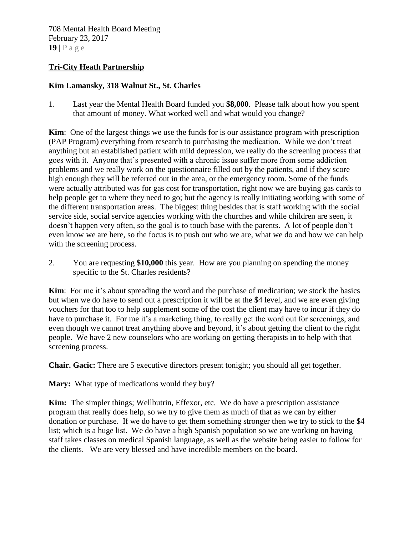### **Tri-City Heath Partnership**

### **Kim Lamansky, 318 Walnut St., St. Charles**

1. Last year the Mental Health Board funded you **\$8,000**. Please talk about how you spent that amount of money. What worked well and what would you change?

**Kim**: One of the largest things we use the funds for is our assistance program with prescription (PAP Program) everything from research to purchasing the medication. While we don't treat anything but an established patient with mild depression, we really do the screening process that goes with it. Anyone that's presented with a chronic issue suffer more from some addiction problems and we really work on the questionnaire filled out by the patients, and if they score high enough they will be referred out in the area, or the emergency room. Some of the funds were actually attributed was for gas cost for transportation, right now we are buying gas cards to help people get to where they need to go; but the agency is really initiating working with some of the different transportation areas. The biggest thing besides that is staff working with the social service side, social service agencies working with the churches and while children are seen, it doesn't happen very often, so the goal is to touch base with the parents. A lot of people don't even know we are here, so the focus is to push out who we are, what we do and how we can help with the screening process.

2. You are requesting **\$10,000** this year. How are you planning on spending the money specific to the St. Charles residents?

**Kim**: For me it's about spreading the word and the purchase of medication; we stock the basics but when we do have to send out a prescription it will be at the \$4 level, and we are even giving vouchers for that too to help supplement some of the cost the client may have to incur if they do have to purchase it. For me it's a marketing thing, to really get the word out for screenings, and even though we cannot treat anything above and beyond, it's about getting the client to the right people. We have 2 new counselors who are working on getting therapists in to help with that screening process.

**Chair. Gacic:** There are 5 executive directors present tonight; you should all get together.

**Mary:** What type of medications would they buy?

**Kim: T**he simpler things; Wellbutrin, Effexor, etc. We do have a prescription assistance program that really does help, so we try to give them as much of that as we can by either donation or purchase. If we do have to get them something stronger then we try to stick to the \$4 list; which is a huge list. We do have a high Spanish population so we are working on having staff takes classes on medical Spanish language, as well as the website being easier to follow for the clients. We are very blessed and have incredible members on the board.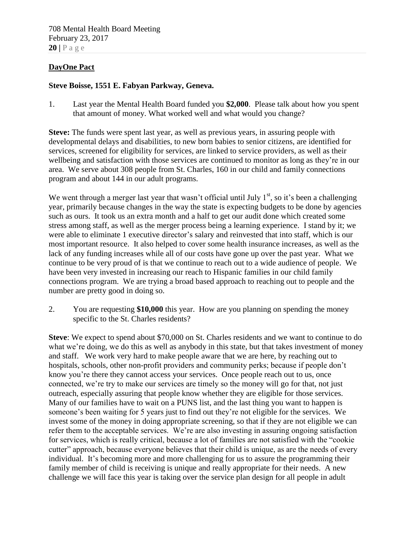## **DayOne Pact**

## **Steve Boisse, 1551 E. Fabyan Parkway, Geneva.**

1. Last year the Mental Health Board funded you **\$2,000**. Please talk about how you spent that amount of money. What worked well and what would you change?

**Steve:** The funds were spent last year, as well as previous years, in assuring people with developmental delays and disabilities, to new born babies to senior citizens, are identified for services, screened for eligibility for services, are linked to service providers, as well as their wellbeing and satisfaction with those services are continued to monitor as long as they're in our area. We serve about 308 people from St. Charles, 160 in our child and family connections program and about 144 in our adult programs.

We went through a merger last year that wasn't official until July  $1<sup>st</sup>$ , so it's been a challenging year, primarily because changes in the way the state is expecting budgets to be done by agencies such as ours. It took us an extra month and a half to get our audit done which created some stress among staff, as well as the merger process being a learning experience. I stand by it; we were able to eliminate 1 executive director's salary and reinvested that into staff, which is our most important resource. It also helped to cover some health insurance increases, as well as the lack of any funding increases while all of our costs have gone up over the past year. What we continue to be very proud of is that we continue to reach out to a wide audience of people. We have been very invested in increasing our reach to Hispanic families in our child family connections program. We are trying a broad based approach to reaching out to people and the number are pretty good in doing so.

2. You are requesting **\$10,000** this year. How are you planning on spending the money specific to the St. Charles residents?

**Steve**: We expect to spend about \$70,000 on St. Charles residents and we want to continue to do what we're doing, we do this as well as anybody in this state, but that takes investment of money and staff. We work very hard to make people aware that we are here, by reaching out to hospitals, schools, other non-profit providers and community perks; because if people don't know you're there they cannot access your services. Once people reach out to us, once connected, we're try to make our services are timely so the money will go for that, not just outreach, especially assuring that people know whether they are eligible for those services. Many of our families have to wait on a PUNS list, and the last thing you want to happen is someone's been waiting for 5 years just to find out they're not eligible for the services. We invest some of the money in doing appropriate screening, so that if they are not eligible we can refer them to the acceptable services. We're are also investing in assuring ongoing satisfaction for services, which is really critical, because a lot of families are not satisfied with the "cookie cutter" approach, because everyone believes that their child is unique, as are the needs of every individual. It's becoming more and more challenging for us to assure the programming their family member of child is receiving is unique and really appropriate for their needs. A new challenge we will face this year is taking over the service plan design for all people in adult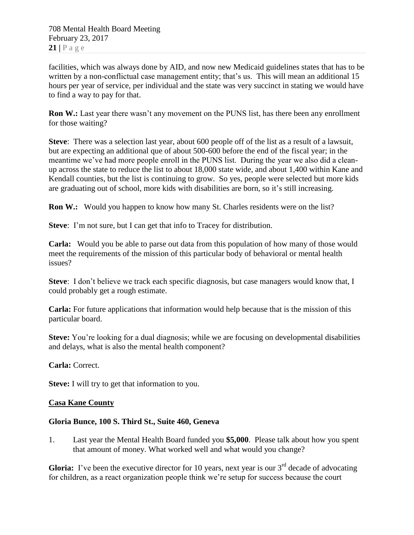facilities, which was always done by AID, and now new Medicaid guidelines states that has to be written by a non-conflictual case management entity; that's us. This will mean an additional 15 hours per year of service, per individual and the state was very succinct in stating we would have to find a way to pay for that.

**Ron W.:** Last year there wasn't any movement on the PUNS list, has there been any enrollment for those waiting?

**Steve**: There was a selection last year, about 600 people off of the list as a result of a lawsuit, but are expecting an additional que of about 500-600 before the end of the fiscal year; in the meantime we've had more people enroll in the PUNS list. During the year we also did a cleanup across the state to reduce the list to about 18,000 state wide, and about 1,400 within Kane and Kendall counties, but the list is continuing to grow. So yes, people were selected but more kids are graduating out of school, more kids with disabilities are born, so it's still increasing.

**Ron W.:** Would you happen to know how many St. Charles residents were on the list?

**Steve**: I'm not sure, but I can get that info to Tracey for distribution.

**Carla:** Would you be able to parse out data from this population of how many of those would meet the requirements of the mission of this particular body of behavioral or mental health issues?

**Steve**: I don't believe we track each specific diagnosis, but case managers would know that, I could probably get a rough estimate.

**Carla:** For future applications that information would help because that is the mission of this particular board.

**Steve:** You're looking for a dual diagnosis; while we are focusing on developmental disabilities and delays, what is also the mental health component?

**Carla:** Correct.

**Steve:** I will try to get that information to you.

#### **Casa Kane County**

## **Gloria Bunce, 100 S. Third St., Suite 460, Geneva**

1. Last year the Mental Health Board funded you **\$5,000**. Please talk about how you spent that amount of money. What worked well and what would you change?

**Gloria:** I've been the executive director for 10 years, next year is our  $3<sup>rd</sup>$  decade of advocating for children, as a react organization people think we're setup for success because the court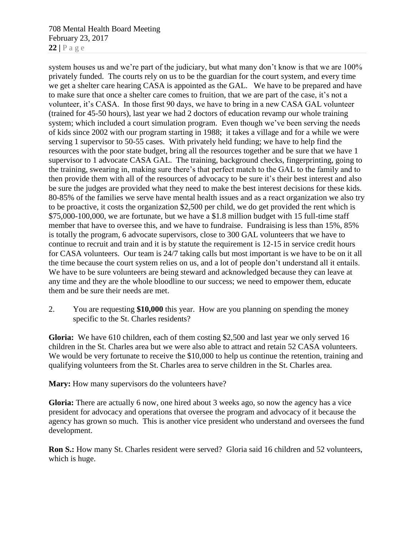708 Mental Health Board Meeting February 23, 2017 **22 |** P a g e

system houses us and we're part of the judiciary, but what many don't know is that we are 100% privately funded. The courts rely on us to be the guardian for the court system, and every time we get a shelter care hearing CASA is appointed as the GAL. We have to be prepared and have to make sure that once a shelter care comes to fruition, that we are part of the case, it's not a volunteer, it's CASA. In those first 90 days, we have to bring in a new CASA GAL volunteer (trained for 45-50 hours), last year we had 2 doctors of education revamp our whole training system; which included a court simulation program. Even though we've been serving the needs of kids since 2002 with our program starting in 1988; it takes a village and for a while we were serving 1 supervisor to 50-55 cases. With privately held funding; we have to help find the resources with the poor state budget, bring all the resources together and be sure that we have 1 supervisor to 1 advocate CASA GAL. The training, background checks, fingerprinting, going to the training, swearing in, making sure there's that perfect match to the GAL to the family and to then provide them with all of the resources of advocacy to be sure it's their best interest and also be sure the judges are provided what they need to make the best interest decisions for these kids. 80-85% of the families we serve have mental health issues and as a react organization we also try to be proactive, it costs the organization \$2,500 per child, we do get provided the rent which is \$75,000-100,000, we are fortunate, but we have a \$1.8 million budget with 15 full-time staff member that have to oversee this, and we have to fundraise. Fundraising is less than 15%, 85% is totally the program, 6 advocate supervisors, close to 300 GAL volunteers that we have to continue to recruit and train and it is by statute the requirement is 12-15 in service credit hours for CASA volunteers. Our team is 24/7 taking calls but most important is we have to be on it all the time because the court system relies on us, and a lot of people don't understand all it entails. We have to be sure volunteers are being steward and acknowledged because they can leave at any time and they are the whole bloodline to our success; we need to empower them, educate them and be sure their needs are met.

2. You are requesting **\$10,000** this year. How are you planning on spending the money specific to the St. Charles residents?

**Gloria:** We have 610 children, each of them costing \$2,500 and last year we only served 16 children in the St. Charles area but we were also able to attract and retain 52 CASA volunteers. We would be very fortunate to receive the \$10,000 to help us continue the retention, training and qualifying volunteers from the St. Charles area to serve children in the St. Charles area.

**Mary:** How many supervisors do the volunteers have?

**Gloria:** There are actually 6 now, one hired about 3 weeks ago, so now the agency has a vice president for advocacy and operations that oversee the program and advocacy of it because the agency has grown so much. This is another vice president who understand and oversees the fund development.

**Ron S.:** How many St. Charles resident were served? Gloria said 16 children and 52 volunteers, which is huge.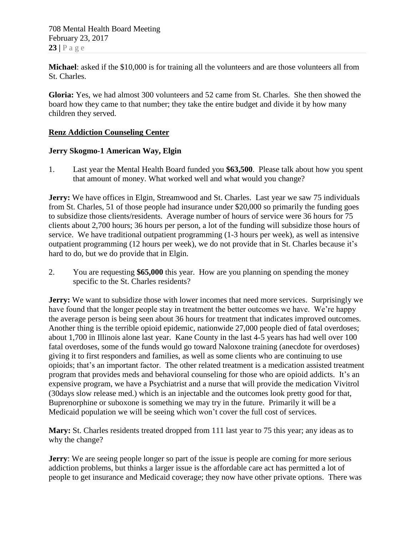**Michael**: asked if the \$10,000 is for training all the volunteers and are those volunteers all from St. Charles.

**Gloria:** Yes, we had almost 300 volunteers and 52 came from St. Charles. She then showed the board how they came to that number; they take the entire budget and divide it by how many children they served.

## **Renz Addiction Counseling Center**

## **Jerry Skogmo-1 American Way, Elgin**

1. Last year the Mental Health Board funded you **\$63,500**. Please talk about how you spent that amount of money. What worked well and what would you change?

**Jerry:** We have offices in Elgin, Streamwood and St. Charles. Last year we saw 75 individuals from St. Charles, 51 of those people had insurance under \$20,000 so primarily the funding goes to subsidize those clients/residents. Average number of hours of service were 36 hours for 75 clients about 2,700 hours; 36 hours per person, a lot of the funding will subsidize those hours of service. We have traditional outpatient programming (1-3 hours per week), as well as intensive outpatient programming (12 hours per week), we do not provide that in St. Charles because it's hard to do, but we do provide that in Elgin.

2. You are requesting **\$65,000** this year. How are you planning on spending the money specific to the St. Charles residents?

**Jerry:** We want to subsidize those with lower incomes that need more services. Surprisingly we have found that the longer people stay in treatment the better outcomes we have. We're happy the average person is being seen about 36 hours for treatment that indicates improved outcomes. Another thing is the terrible opioid epidemic, nationwide 27,000 people died of fatal overdoses; about 1,700 in Illinois alone last year. Kane County in the last 4-5 years has had well over 100 fatal overdoses, some of the funds would go toward Naloxone training (anecdote for overdoses) giving it to first responders and families, as well as some clients who are continuing to use opioids; that's an important factor. The other related treatment is a medication assisted treatment program that provides meds and behavioral counseling for those who are opioid addicts. It's an expensive program, we have a Psychiatrist and a nurse that will provide the medication Vivitrol (30days slow release med.) which is an injectable and the outcomes look pretty good for that, Buprenorphine or suboxone is something we may try in the future. Primarily it will be a Medicaid population we will be seeing which won't cover the full cost of services.

**Mary:** St. Charles residents treated dropped from 111 last year to 75 this year; any ideas as to why the change?

**Jerry:** We are seeing people longer so part of the issue is people are coming for more serious addiction problems, but thinks a larger issue is the affordable care act has permitted a lot of people to get insurance and Medicaid coverage; they now have other private options. There was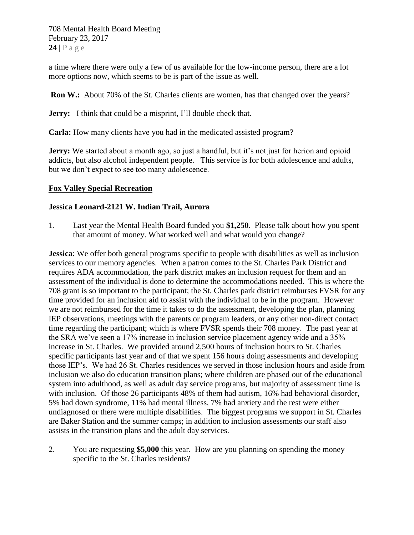a time where there were only a few of us available for the low-income person, there are a lot more options now, which seems to be is part of the issue as well.

**Ron W.:** About 70% of the St. Charles clients are women, has that changed over the years?

**Jerry:** I think that could be a misprint, I'll double check that.

**Carla:** How many clients have you had in the medicated assisted program?

**Jerry:** We started about a month ago, so just a handful, but it's not just for herion and opioid addicts, but also alcohol independent people. This service is for both adolescence and adults, but we don't expect to see too many adolescence.

## **Fox Valley Special Recreation**

## **Jessica Leonard-2121 W. Indian Trail, Aurora**

1. Last year the Mental Health Board funded you **\$1,250**. Please talk about how you spent that amount of money. What worked well and what would you change?

**Jessica**: We offer both general programs specific to people with disabilities as well as inclusion services to our memory agencies. When a patron comes to the St. Charles Park District and requires ADA accommodation, the park district makes an inclusion request for them and an assessment of the individual is done to determine the accommodations needed. This is where the 708 grant is so important to the participant; the St. Charles park district reimburses FVSR for any time provided for an inclusion aid to assist with the individual to be in the program. However we are not reimbursed for the time it takes to do the assessment, developing the plan, planning IEP observations, meetings with the parents or program leaders, or any other non-direct contact time regarding the participant; which is where FVSR spends their 708 money. The past year at the SRA we've seen a 17% increase in inclusion service placement agency wide and a 35% increase in St. Charles. We provided around 2,500 hours of inclusion hours to St. Charles specific participants last year and of that we spent 156 hours doing assessments and developing those IEP's. We had 26 St. Charles residences we served in those inclusion hours and aside from inclusion we also do education transition plans; where children are phased out of the educational system into adulthood, as well as adult day service programs, but majority of assessment time is with inclusion. Of those 26 participants 48% of them had autism, 16% had behavioral disorder, 5% had down syndrome, 11% had mental illness, 7% had anxiety and the rest were either undiagnosed or there were multiple disabilities. The biggest programs we support in St. Charles are Baker Station and the summer camps; in addition to inclusion assessments our staff also assists in the transition plans and the adult day services.

2. You are requesting **\$5,000** this year. How are you planning on spending the money specific to the St. Charles residents?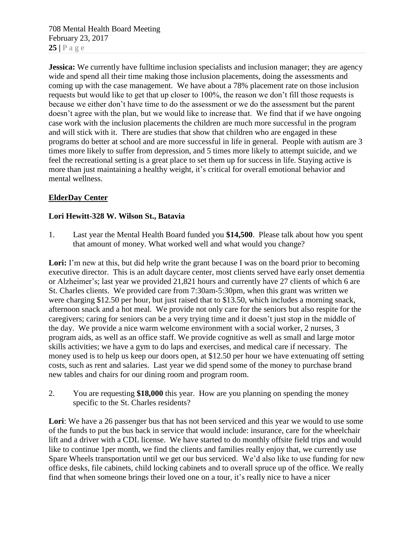708 Mental Health Board Meeting February 23, 2017  $25$  |  $P$  a g e

**Jessica:** We currently have fulltime inclusion specialists and inclusion manager; they are agency wide and spend all their time making those inclusion placements, doing the assessments and coming up with the case management. We have about a 78% placement rate on those inclusion requests but would like to get that up closer to 100%, the reason we don't fill those requests is because we either don't have time to do the assessment or we do the assessment but the parent doesn't agree with the plan, but we would like to increase that. We find that if we have ongoing case work with the inclusion placements the children are much more successful in the program and will stick with it. There are studies that show that children who are engaged in these programs do better at school and are more successful in life in general. People with autism are 3 times more likely to suffer from depression, and 5 times more likely to attempt suicide, and we feel the recreational setting is a great place to set them up for success in life. Staying active is more than just maintaining a healthy weight, it's critical for overall emotional behavior and mental wellness.

## **ElderDay Center**

## **Lori Hewitt-328 W. Wilson St., Batavia**

1. Last year the Mental Health Board funded you **\$14,500**. Please talk about how you spent that amount of money. What worked well and what would you change?

Lori: I'm new at this, but did help write the grant because I was on the board prior to becoming executive director. This is an adult daycare center, most clients served have early onset dementia or Alzheimer's; last year we provided 21,821 hours and currently have 27 clients of which 6 are St. Charles clients. We provided care from 7:30am-5:30pm, when this grant was written we were charging \$12.50 per hour, but just raised that to \$13.50, which includes a morning snack, afternoon snack and a hot meal. We provide not only care for the seniors but also respite for the caregivers; caring for seniors can be a very trying time and it doesn't just stop in the middle of the day. We provide a nice warm welcome environment with a social worker, 2 nurses, 3 program aids, as well as an office staff. We provide cognitive as well as small and large motor skills activities; we have a gym to do laps and exercises, and medical care if necessary. The money used is to help us keep our doors open, at \$12.50 per hour we have extenuating off setting costs, such as rent and salaries. Last year we did spend some of the money to purchase brand new tables and chairs for our dining room and program room.

2. You are requesting **\$18,000** this year. How are you planning on spending the money specific to the St. Charles residents?

**Lori**: We have a 26 passenger bus that has not been serviced and this year we would to use some of the funds to put the bus back in service that would include: insurance, care for the wheelchair lift and a driver with a CDL license. We have started to do monthly offsite field trips and would like to continue 1per month, we find the clients and families really enjoy that, we currently use Spare Wheels transportation until we get our bus serviced. We'd also like to use funding for new office desks, file cabinets, child locking cabinets and to overall spruce up of the office. We really find that when someone brings their loved one on a tour, it's really nice to have a nicer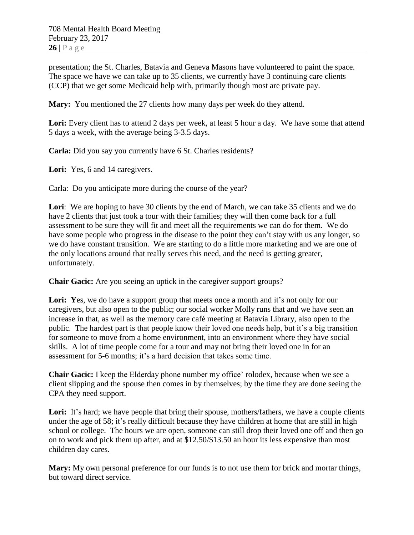presentation; the St. Charles, Batavia and Geneva Masons have volunteered to paint the space. The space we have we can take up to 35 clients, we currently have 3 continuing care clients (CCP) that we get some Medicaid help with, primarily though most are private pay.

**Mary:** You mentioned the 27 clients how many days per week do they attend.

Lori: Every client has to attend 2 days per week, at least 5 hour a day. We have some that attend 5 days a week, with the average being 3-3.5 days.

**Carla:** Did you say you currently have 6 St. Charles residents?

Lori: Yes, 6 and 14 caregivers.

Carla: Do you anticipate more during the course of the year?

Lori: We are hoping to have 30 clients by the end of March, we can take 35 clients and we do have 2 clients that just took a tour with their families; they will then come back for a full assessment to be sure they will fit and meet all the requirements we can do for them. We do have some people who progress in the disease to the point they can't stay with us any longer, so we do have constant transition. We are starting to do a little more marketing and we are one of the only locations around that really serves this need, and the need is getting greater, unfortunately.

**Chair Gacic:** Are you seeing an uptick in the caregiver support groups?

Lori: Yes, we do have a support group that meets once a month and it's not only for our caregivers, but also open to the public; our social worker Molly runs that and we have seen an increase in that, as well as the memory care café meeting at Batavia Library, also open to the public. The hardest part is that people know their loved one needs help, but it's a big transition for someone to move from a home environment, into an environment where they have social skills. A lot of time people come for a tour and may not bring their loved one in for an assessment for 5-6 months; it's a hard decision that takes some time.

**Chair Gacic:** I keep the Elderday phone number my office' rolodex, because when we see a client slipping and the spouse then comes in by themselves; by the time they are done seeing the CPA they need support.

Lori: It's hard; we have people that bring their spouse, mothers/fathers, we have a couple clients under the age of 58; it's really difficult because they have children at home that are still in high school or college. The hours we are open, someone can still drop their loved one off and then go on to work and pick them up after, and at \$12.50/\$13.50 an hour its less expensive than most children day cares.

**Mary:** My own personal preference for our funds is to not use them for brick and mortar things, but toward direct service.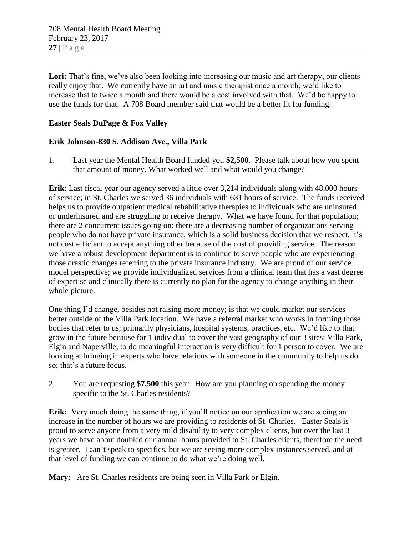Lori: That's fine, we've also been looking into increasing our music and art therapy; our clients really enjoy that. We currently have an art and music therapist once a month; we'd like to increase that to twice a month and there would be a cost involved with that. We'd be happy to use the funds for that. A 708 Board member said that would be a better fit for funding.

## **Easter Seals DuPage & Fox Valley**

## **Erik Johnson-830 S. Addison Ave., Villa Park**

1. Last year the Mental Health Board funded you **\$2,500**. Please talk about how you spent that amount of money. What worked well and what would you change?

**Erik**: Last fiscal year our agency served a little over 3,214 individuals along with 48,000 hours of service; in St. Charles we served 36 individuals with 631 hours of service. The funds received helps us to provide outpatient medical rehabilitative therapies to individuals who are uninsured or underinsured and are struggling to receive therapy. What we have found for that population; there are 2 concurrent issues going on: there are a decreasing number of organizations serving people who do not have private insurance, which is a solid business decision that we respect, it's not cost efficient to accept anything other because of the cost of providing service. The reason we have a robust development department is to continue to serve people who are experiencing those drastic changes referring to the private insurance industry. We are proud of our service model perspective; we provide individualized services from a clinical team that has a vast degree of expertise and clinically there is currently no plan for the agency to change anything in their whole picture.

One thing I'd change, besides not raising more money; is that we could market our services better outside of the Villa Park location. We have a referral market who works in forming those bodies that refer to us; primarily physicians, hospital systems, practices, etc. We'd like to that grow in the future because for 1 individual to cover the vast geography of our 3 sites: Villa Park, Elgin and Naperville, to do meaningful interaction is very difficult for 1 person to cover. We are looking at bringing in experts who have relations with someone in the community to help us do so; that's a future focus.

2. You are requesting **\$7,500** this year. How are you planning on spending the money specific to the St. Charles residents?

**Erik:** Very much doing the same thing, if you'll notice on our application we are seeing an increase in the number of hours we are providing to residents of St. Charles. Easter Seals is proud to serve anyone from a very mild disability to very complex clients, but over the last 3 years we have about doubled our annual hours provided to St. Charles clients, therefore the need is greater. I can't speak to specifics, but we are seeing more complex instances served, and at that level of funding we can continue to do what we're doing well.

**Mary:** Are St. Charles residents are being seen in Villa Park or Elgin.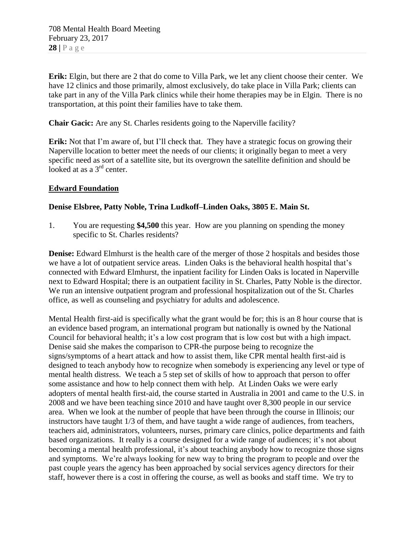**Erik:** Elgin, but there are 2 that do come to Villa Park, we let any client choose their center. We have 12 clinics and those primarily, almost exclusively, do take place in Villa Park; clients can take part in any of the Villa Park clinics while their home therapies may be in Elgin. There is no transportation, at this point their families have to take them.

**Chair Gacic:** Are any St. Charles residents going to the Naperville facility?

**Erik:** Not that I'm aware of, but I'll check that. They have a strategic focus on growing their Naperville location to better meet the needs of our clients; it originally began to meet a very specific need as sort of a satellite site, but its overgrown the satellite definition and should be looked at as a 3<sup>rd</sup> center.

## **Edward Foundation**

## **Denise Elsbree, Patty Noble, Trina Ludkoff–Linden Oaks, 3805 E. Main St.**

1. You are requesting **\$4,500** this year. How are you planning on spending the money specific to St. Charles residents?

**Denise:** Edward Elmhurst is the health care of the merger of those 2 hospitals and besides those we have a lot of outpatient service areas. Linden Oaks is the behavioral health hospital that's connected with Edward Elmhurst, the inpatient facility for Linden Oaks is located in Naperville next to Edward Hospital; there is an outpatient facility in St. Charles, Patty Noble is the director. We run an intensive outpatient program and professional hospitalization out of the St. Charles office, as well as counseling and psychiatry for adults and adolescence.

Mental Health first-aid is specifically what the grant would be for; this is an 8 hour course that is an evidence based program, an international program but nationally is owned by the National Council for behavioral health; it's a low cost program that is low cost but with a high impact. Denise said she makes the comparison to CPR-the purpose being to recognize the signs/symptoms of a heart attack and how to assist them, like CPR mental health first-aid is designed to teach anybody how to recognize when somebody is experiencing any level or type of mental health distress. We teach a 5 step set of skills of how to approach that person to offer some assistance and how to help connect them with help. At Linden Oaks we were early adopters of mental health first-aid, the course started in Australia in 2001 and came to the U.S. in 2008 and we have been teaching since 2010 and have taught over 8,300 people in our service area. When we look at the number of people that have been through the course in Illinois; our instructors have taught 1/3 of them, and have taught a wide range of audiences, from teachers, teachers aid, administrators, volunteers, nurses, primary care clinics, police departments and faith based organizations. It really is a course designed for a wide range of audiences; it's not about becoming a mental health professional, it's about teaching anybody how to recognize those signs and symptoms. We're always looking for new way to bring the program to people and over the past couple years the agency has been approached by social services agency directors for their staff, however there is a cost in offering the course, as well as books and staff time. We try to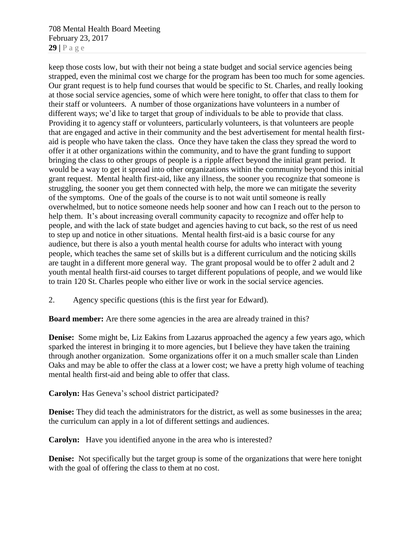708 Mental Health Board Meeting February 23, 2017 **29 |** P a g e

keep those costs low, but with their not being a state budget and social service agencies being strapped, even the minimal cost we charge for the program has been too much for some agencies. Our grant request is to help fund courses that would be specific to St. Charles, and really looking at those social service agencies, some of which were here tonight, to offer that class to them for their staff or volunteers. A number of those organizations have volunteers in a number of different ways; we'd like to target that group of individuals to be able to provide that class. Providing it to agency staff or volunteers, particularly volunteers, is that volunteers are people that are engaged and active in their community and the best advertisement for mental health firstaid is people who have taken the class. Once they have taken the class they spread the word to offer it at other organizations within the community, and to have the grant funding to support bringing the class to other groups of people is a ripple affect beyond the initial grant period. It would be a way to get it spread into other organizations within the community beyond this initial grant request. Mental health first-aid, like any illness, the sooner you recognize that someone is struggling, the sooner you get them connected with help, the more we can mitigate the severity of the symptoms. One of the goals of the course is to not wait until someone is really overwhelmed, but to notice someone needs help sooner and how can I reach out to the person to help them. It's about increasing overall community capacity to recognize and offer help to people, and with the lack of state budget and agencies having to cut back, so the rest of us need to step up and notice in other situations. Mental health first-aid is a basic course for any audience, but there is also a youth mental health course for adults who interact with young people, which teaches the same set of skills but is a different curriculum and the noticing skills are taught in a different more general way. The grant proposal would be to offer 2 adult and 2 youth mental health first-aid courses to target different populations of people, and we would like to train 120 St. Charles people who either live or work in the social service agencies.

2. Agency specific questions (this is the first year for Edward).

**Board member:** Are there some agencies in the area are already trained in this?

**Denise:** Some might be, Liz Eakins from Lazarus approached the agency a few years ago, which sparked the interest in bringing it to more agencies, but I believe they have taken the training through another organization. Some organizations offer it on a much smaller scale than Linden Oaks and may be able to offer the class at a lower cost; we have a pretty high volume of teaching mental health first-aid and being able to offer that class.

**Carolyn:** Has Geneva's school district participated?

**Denise:** They did teach the administrators for the district, as well as some businesses in the area; the curriculum can apply in a lot of different settings and audiences.

**Carolyn:** Have you identified anyone in the area who is interested?

**Denise:** Not specifically but the target group is some of the organizations that were here tonight with the goal of offering the class to them at no cost.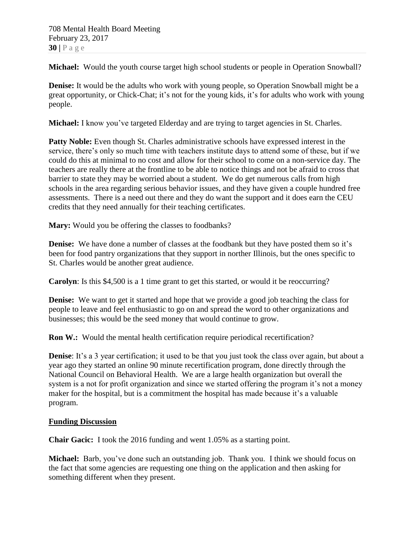**Michael:** Would the youth course target high school students or people in Operation Snowball?

**Denise:** It would be the adults who work with young people, so Operation Snowball might be a great opportunity, or Chick-Chat; it's not for the young kids, it's for adults who work with young people.

**Michael:** I know you've targeted Elderday and are trying to target agencies in St. Charles.

**Patty Noble:** Even though St. Charles administrative schools have expressed interest in the service, there's only so much time with teachers institute days to attend some of these, but if we could do this at minimal to no cost and allow for their school to come on a non-service day. The teachers are really there at the frontline to be able to notice things and not be afraid to cross that barrier to state they may be worried about a student. We do get numerous calls from high schools in the area regarding serious behavior issues, and they have given a couple hundred free assessments. There is a need out there and they do want the support and it does earn the CEU credits that they need annually for their teaching certificates.

**Mary:** Would you be offering the classes to foodbanks?

**Denise:** We have done a number of classes at the foodbank but they have posted them so it's been for food pantry organizations that they support in norther Illinois, but the ones specific to St. Charles would be another great audience.

**Carolyn**: Is this \$4,500 is a 1 time grant to get this started, or would it be reoccurring?

**Denise:** We want to get it started and hope that we provide a good job teaching the class for people to leave and feel enthusiastic to go on and spread the word to other organizations and businesses; this would be the seed money that would continue to grow.

**Ron W.:** Would the mental health certification require periodical recertification?

**Denise**: It's a 3 year certification; it used to be that you just took the class over again, but about a year ago they started an online 90 minute recertification program, done directly through the National Council on Behavioral Health. We are a large health organization but overall the system is a not for profit organization and since we started offering the program it's not a money maker for the hospital, but is a commitment the hospital has made because it's a valuable program.

## **Funding Discussion**

**Chair Gacic:** I took the 2016 funding and went 1.05% as a starting point.

**Michael:** Barb, you've done such an outstanding job. Thank you. I think we should focus on the fact that some agencies are requesting one thing on the application and then asking for something different when they present.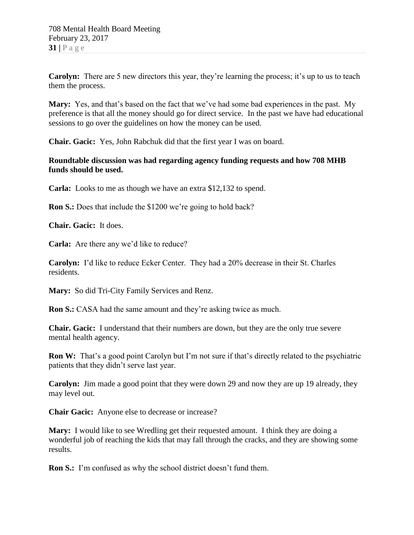**Carolyn:** There are 5 new directors this year, they're learning the process; it's up to us to teach them the process.

**Mary:** Yes, and that's based on the fact that we've had some bad experiences in the past. My preference is that all the money should go for direct service. In the past we have had educational sessions to go over the guidelines on how the money can be used.

**Chair. Gacic:** Yes, John Rabchuk did that the first year I was on board.

## **Roundtable discussion was had regarding agency funding requests and how 708 MHB funds should be used.**

**Carla:** Looks to me as though we have an extra \$12,132 to spend.

**Ron S.:** Does that include the \$1200 we're going to hold back?

**Chair. Gacic:** It does.

**Carla:** Are there any we'd like to reduce?

**Carolyn:** I'd like to reduce Ecker Center. They had a 20% decrease in their St. Charles residents.

**Mary:** So did Tri-City Family Services and Renz.

**Ron S.:** CASA had the same amount and they're asking twice as much.

**Chair. Gacic:** I understand that their numbers are down, but they are the only true severe mental health agency.

**Ron W:** That's a good point Carolyn but I'm not sure if that's directly related to the psychiatric patients that they didn't serve last year.

**Carolyn:** Jim made a good point that they were down 29 and now they are up 19 already, they may level out.

**Chair Gacic:** Anyone else to decrease or increase?

**Mary:** I would like to see Wredling get their requested amount. I think they are doing a wonderful job of reaching the kids that may fall through the cracks, and they are showing some results.

**Ron S.:** I'm confused as why the school district doesn't fund them.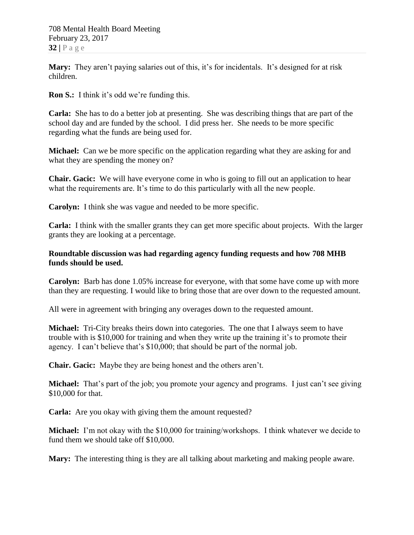**Mary:** They aren't paying salaries out of this, it's for incidentals. It's designed for at risk children.

**Ron S.:** I think it's odd we're funding this.

**Carla:** She has to do a better job at presenting. She was describing things that are part of the school day and are funded by the school. I did press her. She needs to be more specific regarding what the funds are being used for.

**Michael:** Can we be more specific on the application regarding what they are asking for and what they are spending the money on?

**Chair. Gacic:** We will have everyone come in who is going to fill out an application to hear what the requirements are. It's time to do this particularly with all the new people.

**Carolyn:** I think she was vague and needed to be more specific.

**Carla:** I think with the smaller grants they can get more specific about projects. With the larger grants they are looking at a percentage.

## **Roundtable discussion was had regarding agency funding requests and how 708 MHB funds should be used.**

**Carolyn:** Barb has done 1.05% increase for everyone, with that some have come up with more than they are requesting. I would like to bring those that are over down to the requested amount.

All were in agreement with bringing any overages down to the requested amount.

**Michael:** Tri-City breaks theirs down into categories. The one that I always seem to have trouble with is \$10,000 for training and when they write up the training it's to promote their agency. I can't believe that's \$10,000; that should be part of the normal job.

**Chair. Gacic:** Maybe they are being honest and the others aren't.

**Michael:** That's part of the job; you promote your agency and programs. I just can't see giving \$10,000 for that.

**Carla:** Are you okay with giving them the amount requested?

**Michael:** I'm not okay with the \$10,000 for training/workshops. I think whatever we decide to fund them we should take off \$10,000.

**Mary:** The interesting thing is they are all talking about marketing and making people aware.